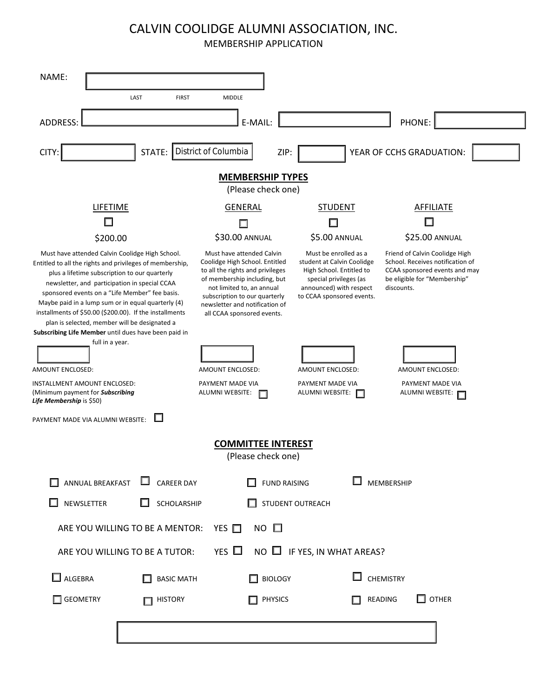## CALVIN COOLIDGE ALUMNI ASSOCIATION, INC.

MEMBERSHIP APPLICATION

| NAME:                                                                                                                                                                                                                                                                                                                                                                                                                                                                                     |                                                                                                                                                                                                                                                               |                                                                                                                                                                   |                                                                                                                                                   |
|-------------------------------------------------------------------------------------------------------------------------------------------------------------------------------------------------------------------------------------------------------------------------------------------------------------------------------------------------------------------------------------------------------------------------------------------------------------------------------------------|---------------------------------------------------------------------------------------------------------------------------------------------------------------------------------------------------------------------------------------------------------------|-------------------------------------------------------------------------------------------------------------------------------------------------------------------|---------------------------------------------------------------------------------------------------------------------------------------------------|
| LAST<br><b>FIRST</b>                                                                                                                                                                                                                                                                                                                                                                                                                                                                      | <b>MIDDLE</b>                                                                                                                                                                                                                                                 |                                                                                                                                                                   |                                                                                                                                                   |
| <b>ADDRESS:</b>                                                                                                                                                                                                                                                                                                                                                                                                                                                                           | E-MAIL:                                                                                                                                                                                                                                                       |                                                                                                                                                                   | PHONE:                                                                                                                                            |
| District of Columbia<br>YEAR OF CCHS GRADUATION:<br>STATE:<br>ZIP:<br>CITY:                                                                                                                                                                                                                                                                                                                                                                                                               |                                                                                                                                                                                                                                                               |                                                                                                                                                                   |                                                                                                                                                   |
| <b>MEMBERSHIP TYPES</b><br>(Please check one)                                                                                                                                                                                                                                                                                                                                                                                                                                             |                                                                                                                                                                                                                                                               |                                                                                                                                                                   |                                                                                                                                                   |
| <b>LIFETIME</b>                                                                                                                                                                                                                                                                                                                                                                                                                                                                           | <b>GENERAL</b>                                                                                                                                                                                                                                                | <b>STUDENT</b>                                                                                                                                                    | <b>AFFILIATE</b>                                                                                                                                  |
| ш                                                                                                                                                                                                                                                                                                                                                                                                                                                                                         |                                                                                                                                                                                                                                                               |                                                                                                                                                                   |                                                                                                                                                   |
| \$200.00                                                                                                                                                                                                                                                                                                                                                                                                                                                                                  | \$30.00 ANNUAL                                                                                                                                                                                                                                                | \$5.00 ANNUAL                                                                                                                                                     | \$25.00 ANNUAL                                                                                                                                    |
| Must have attended Calvin Coolidge High School.<br>Entitled to all the rights and privileges of membership,<br>plus a lifetime subscription to our quarterly<br>newsletter, and participation in special CCAA<br>sponsored events on a "Life Member" fee basis.<br>Maybe paid in a lump sum or in equal quarterly (4)<br>installments of \$50.00 (\$200.00). If the installments<br>plan is selected, member will be designated a<br>Subscribing Life Member until dues have been paid in | Must have attended Calvin<br>Coolidge High School. Entitled<br>to all the rights and privileges<br>of membership including, but<br>not limited to, an annual<br>subscription to our quarterly<br>newsletter and notification of<br>all CCAA sponsored events. | Must be enrolled as a<br>student at Calvin Coolidge<br>High School. Entitled to<br>special privileges (as<br>announced) with respect<br>to CCAA sponsored events. | Friend of Calvin Coolidge High<br>School. Receives notification of<br>CCAA sponsored events and may<br>be eligible for "Membership"<br>discounts. |
| full in a year.                                                                                                                                                                                                                                                                                                                                                                                                                                                                           |                                                                                                                                                                                                                                                               |                                                                                                                                                                   |                                                                                                                                                   |
| AMOUNT ENCLOSED:                                                                                                                                                                                                                                                                                                                                                                                                                                                                          | AMOUNT ENCLOSED:                                                                                                                                                                                                                                              | AMOUNT ENCLOSED:                                                                                                                                                  | AMOUNT ENCLOSED:                                                                                                                                  |
| INSTALLMENT AMOUNT ENCLOSED:<br>(Minimum payment for Subscribing<br>Life Membership is \$50)                                                                                                                                                                                                                                                                                                                                                                                              | PAYMENT MADE VIA<br>ALUMNI WEBSITE:                                                                                                                                                                                                                           | PAYMENT MADE VIA<br>ALUMNI WEBSITE:<br>$\Box$                                                                                                                     | PAYMENT MADE VIA<br>ALUMNI WEBSITE:                                                                                                               |
| П<br>PAYMENT MADE VIA ALUMNI WEBSITE:                                                                                                                                                                                                                                                                                                                                                                                                                                                     |                                                                                                                                                                                                                                                               |                                                                                                                                                                   |                                                                                                                                                   |
| <b>COMMITTEE INTEREST</b><br>(Please check one)                                                                                                                                                                                                                                                                                                                                                                                                                                           |                                                                                                                                                                                                                                                               |                                                                                                                                                                   |                                                                                                                                                   |
| <b>CAREER DAY</b><br>ANNUAL BREAKFAST                                                                                                                                                                                                                                                                                                                                                                                                                                                     | <b>FUND RAISING</b>                                                                                                                                                                                                                                           |                                                                                                                                                                   | <b>MEMBERSHIP</b>                                                                                                                                 |
| NEWSLETTER<br>SCHOLARSHIP                                                                                                                                                                                                                                                                                                                                                                                                                                                                 |                                                                                                                                                                                                                                                               | STUDENT OUTREACH                                                                                                                                                  |                                                                                                                                                   |
| $NO$ $\square$<br>ARE YOU WILLING TO BE A MENTOR:<br>YES $\Box$                                                                                                                                                                                                                                                                                                                                                                                                                           |                                                                                                                                                                                                                                                               |                                                                                                                                                                   |                                                                                                                                                   |
| YES $\Box$<br>$NO$ $\Box$ IF YES, IN WHAT AREAS?<br>ARE YOU WILLING TO BE A TUTOR:                                                                                                                                                                                                                                                                                                                                                                                                        |                                                                                                                                                                                                                                                               |                                                                                                                                                                   |                                                                                                                                                   |
| $\Box$ ALGEBRA<br><b>BASIC MATH</b>                                                                                                                                                                                                                                                                                                                                                                                                                                                       | <b>BIOLOGY</b>                                                                                                                                                                                                                                                |                                                                                                                                                                   | <b>CHEMISTRY</b>                                                                                                                                  |
| GEOMETRY<br><b>HISTORY</b>                                                                                                                                                                                                                                                                                                                                                                                                                                                                | <b>PHYSICS</b>                                                                                                                                                                                                                                                |                                                                                                                                                                   | $\square$ other<br>READING                                                                                                                        |
|                                                                                                                                                                                                                                                                                                                                                                                                                                                                                           |                                                                                                                                                                                                                                                               |                                                                                                                                                                   |                                                                                                                                                   |